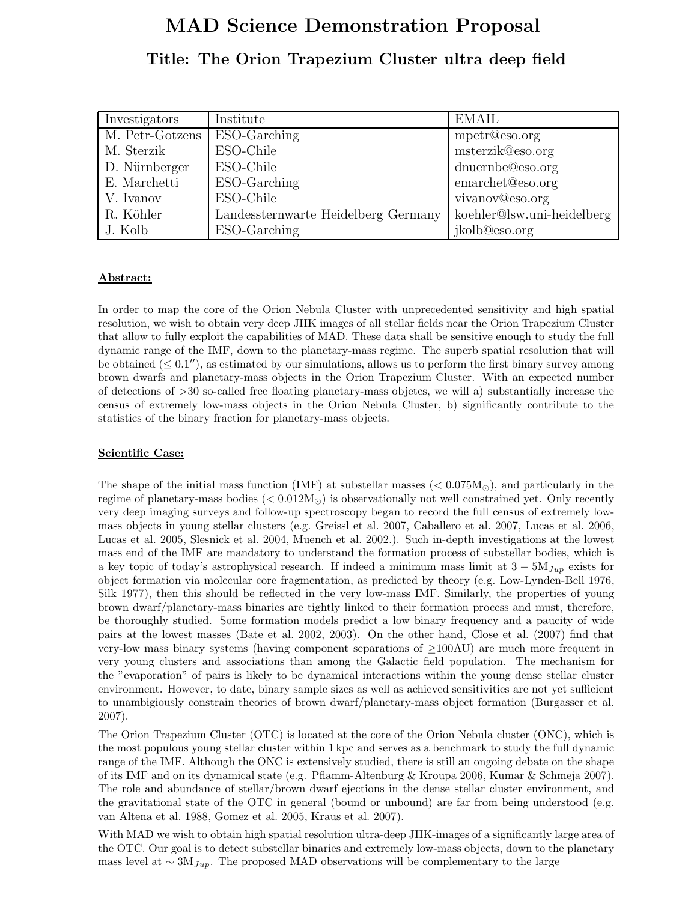# MAD Science Demonstration Proposal

# Title: The Orion Trapezium Cluster ultra deep field

| Investigators   | Institute                           | <b>EMAIL</b>               |
|-----------------|-------------------------------------|----------------------------|
| M. Petr-Gotzens | ESO-Garching                        | mpetr@eso.org              |
| M. Sterzik      | ESO-Chile                           | msterzik@eso.org           |
| D. Nürnberger   | ESO-Chile                           | dnuernbe@eso.org           |
| E. Marchetti    | ESO-Garching                        | emarchet@eso.org           |
| V. Ivanov       | ESO-Chile                           | vivanov@eso.org            |
| R. Köhler       | Landessternwarte Heidelberg Germany | koehler@lsw.uni-heidelberg |
| J. Kolb         | ESO-Garching                        | jkolb@eso.org              |

## Abstract:

In order to map the core of the Orion Nebula Cluster with unprecedented sensitivity and high spatial resolution, we wish to obtain very deep JHK images of all stellar fields near the Orion Trapezium Cluster that allow to fully exploit the capabilities of MAD. These data shall be sensitive enough to study the full dynamic range of the IMF, down to the planetary-mass regime. The superb spatial resolution that will be obtained  $(\leq 0.1'')$ , as estimated by our simulations, allows us to perform the first binary survey among brown dwarfs and planetary-mass objects in the Orion Trapezium Cluster. With an expected number of detections of >30 so-called free floating planetary-mass objetcs, we will a) substantially increase the census of extremely low-mass objects in the Orion Nebula Cluster, b) significantly contribute to the statistics of the binary fraction for planetary-mass objects.

# Scientific Case:

The shape of the initial mass function (IMF) at substellar masses ( $< 0.075M<sub>o</sub>$ ), and particularly in the regime of planetary-mass bodies ( $< 0.012 M_{\odot}$ ) is observationally not well constrained yet. Only recently very deep imaging surveys and follow-up spectroscopy began to record the full census of extremely lowmass objects in young stellar clusters (e.g. Greissl et al. 2007, Caballero et al. 2007, Lucas et al. 2006, Lucas et al. 2005, Slesnick et al. 2004, Muench et al. 2002.). Such in-depth investigations at the lowest mass end of the IMF are mandatory to understand the formation process of substellar bodies, which is a key topic of today's astrophysical research. If indeed a minimum mass limit at  $3 - 5M_{Jup}$  exists for object formation via molecular core fragmentation, as predicted by theory (e.g. Low-Lynden-Bell 1976, Silk 1977), then this should be reflected in the very low-mass IMF. Similarly, the properties of young brown dwarf/planetary-mass binaries are tightly linked to their formation process and must, therefore, be thoroughly studied. Some formation models predict a low binary frequency and a paucity of wide pairs at the lowest masses (Bate et al. 2002, 2003). On the other hand, Close et al. (2007) find that very-low mass binary systems (having component separations of ≥100AU) are much more frequent in very young clusters and associations than among the Galactic field population. The mechanism for the "evaporation" of pairs is likely to be dynamical interactions within the young dense stellar cluster environment. However, to date, binary sample sizes as well as achieved sensitivities are not yet sufficient to unambigiously constrain theories of brown dwarf/planetary-mass object formation (Burgasser et al. 2007).

The Orion Trapezium Cluster (OTC) is located at the core of the Orion Nebula cluster (ONC), which is the most populous young stellar cluster within 1 kpc and serves as a benchmark to study the full dynamic range of the IMF. Although the ONC is extensively studied, there is still an ongoing debate on the shape of its IMF and on its dynamical state (e.g. Pflamm-Altenburg & Kroupa 2006, Kumar & Schmeja 2007). The role and abundance of stellar/brown dwarf ejections in the dense stellar cluster environment, and the gravitational state of the OTC in general (bound or unbound) are far from being understood (e.g. van Altena et al. 1988, Gomez et al. 2005, Kraus et al. 2007).

With MAD we wish to obtain high spatial resolution ultra-deep JHK-images of a significantly large area of the OTC. Our goal is to detect substellar binaries and extremely low-mass objects, down to the planetary mass level at ∼ 3 $M_{Jup}$ . The proposed MAD observations will be complementary to the large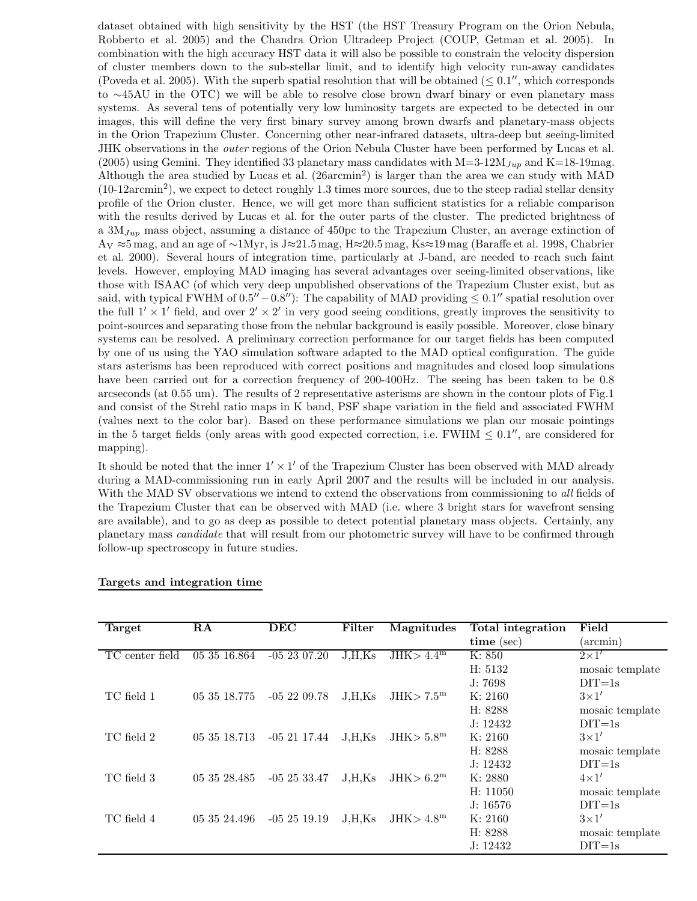dataset obtained with high sensitivity by the HST (the HST Treasury Program on the Orion Nebula, Robberto et al. 2005) and the Chandra Orion Ultradeep Project (COUP, Getman et al. 2005). In combination with the high accuracy HST data it will also be possible to constrain the velocity dispersion of cluster members down to the sub-stellar limit, and to identify high velocity run-away candidates (Poveda et al. 2005). With the superb spatial resolution that will be obtained  $( \leq 0.1'',$  which corresponds to ∼45AU in the OTC) we will be able to resolve close brown dwarf binary or even planetary mass systems. As several tens of potentially very low luminosity targets are expected to be detected in our images, this will define the very first binary survey among brown dwarfs and planetary-mass objects in the Orion Trapezium Cluster. Concerning other near-infrared datasets, ultra-deep but seeing-limited JHK observations in the outer regions of the Orion Nebula Cluster have been performed by Lucas et al. (2005) using Gemini. They identified 33 planetary mass candidates with  $M=3-12M_{Jup}$  and K=18-19mag. Although the area studied by Lucas et al. (26arcmin<sup>2</sup>) is larger than the area we can study with MAD (10-12arcmin<sup>2</sup> ), we expect to detect roughly 1.3 times more sources, due to the steep radial stellar density profile of the Orion cluster. Hence, we will get more than sufficient statistics for a reliable comparison with the results derived by Lucas et al. for the outer parts of the cluster. The predicted brightness of a  $3M_{Jup}$  mass object, assuming a distance of 450pc to the Trapezium Cluster, an average extinction of A<sup>V</sup> ≈5 mag, and an age of ∼1Myr, is J≈21.5 mag, H≈20.5 mag, Ks≈19 mag (Baraffe et al. 1998, Chabrier et al. 2000). Several hours of integration time, particularly at J-band, are needed to reach such faint levels. However, employing MAD imaging has several advantages over seeing-limited observations, like those with ISAAC (of which very deep unpublished observations of the Trapezium Cluster exist, but as said, with typical FWHM of  $0.5'' - 0.8''$ ): The capability of MAD providing  $\leq 0.1''$  spatial resolution over the full  $1' \times 1'$  field, and over  $2' \times 2'$  in very good seeing conditions, greatly improves the sensitivity to point-sources and separating those from the nebular background is easily possible. Moreover, close binary systems can be resolved. A preliminary correction performance for our target fields has been computed by one of us using the YAO simulation software adapted to the MAD optical configuration. The guide stars asterisms has been reproduced with correct positions and magnitudes and closed loop simulations have been carried out for a correction frequency of 200-400Hz. The seeing has been taken to be 0.8 arcseconds (at 0.55 um). The results of 2 representative asterisms are shown in the contour plots of Fig.1 and consist of the Strehl ratio maps in K band, PSF shape variation in the field and associated FWHM (values next to the color bar). Based on these performance simulations we plan our mosaic pointings in the 5 target fields (only areas with good expected correction, i.e.  $FWHM \leq 0.1''$ , are considered for mapping).

It should be noted that the inner  $1' \times 1'$  of the Trapezium Cluster has been observed with MAD already during a MAD-commissioning run in early April 2007 and the results will be included in our analysis. With the MAD SV observations we intend to extend the observations from commissioning to all fields of the Trapezium Cluster that can be observed with MAD (i.e. where 3 bright stars for wavefront sensing are available), and to go as deep as possible to detect potential planetary mass objects. Certainly, any planetary mass candidate that will result from our photometric survey will have to be confirmed through follow-up spectroscopy in future studies.

| Target          | RA           | DEC          | Filter | Magnitudes             | Total integration | Field           |
|-----------------|--------------|--------------|--------|------------------------|-------------------|-----------------|
|                 |              |              |        |                        | $time$ (sec)      | (arcmin)        |
| TC center field | 05 35 16.864 | $-052307.20$ | J.H.Ks | JHK > 4.4 <sup>m</sup> | K: 850            | $2\times1'$     |
|                 |              |              |        |                        | H: 5132           | mosaic template |
|                 |              |              |        |                        | J: 7698           | $DT = 1s$       |
| TC field 1      | 05 35 18.775 | $-052209.78$ | J.H.Ks | JHK > 7.5 <sup>m</sup> | K: 2160           | $3\times1'$     |
|                 |              |              |        |                        | H: 8288           | mosaic template |
|                 |              |              |        |                        | J: 12432          | $DIT=1s$        |
| TC field 2      | 05 35 18.713 | $-052117.44$ | J.H.Ks | JHK > 5.8 <sup>m</sup> | K: 2160           | $3\times1'$     |
|                 |              |              |        |                        | H: 8288           | mosaic template |
|                 |              |              |        |                        | J: 12432          | $DIT=1s$        |
| TC field 3      | 05 35 28.485 | $-052533.47$ | J.H.Ks | JHK > 6.2 <sup>m</sup> | K: 2880           | $4\times1'$     |
|                 |              |              |        |                        | H: 11050          | mosaic template |
|                 |              |              |        |                        | J: 16576          | $DT=1s$         |
| TC field 4      | 05 35 24.496 | $-052519.19$ | J.H.Ks | JHK > 4.8 <sup>m</sup> | K: 2160           | $3\times1'$     |
|                 |              |              |        |                        | H: 8288           | mosaic template |
|                 |              |              |        |                        | J: 12432          | $DT=1s$         |

#### Targets and integration time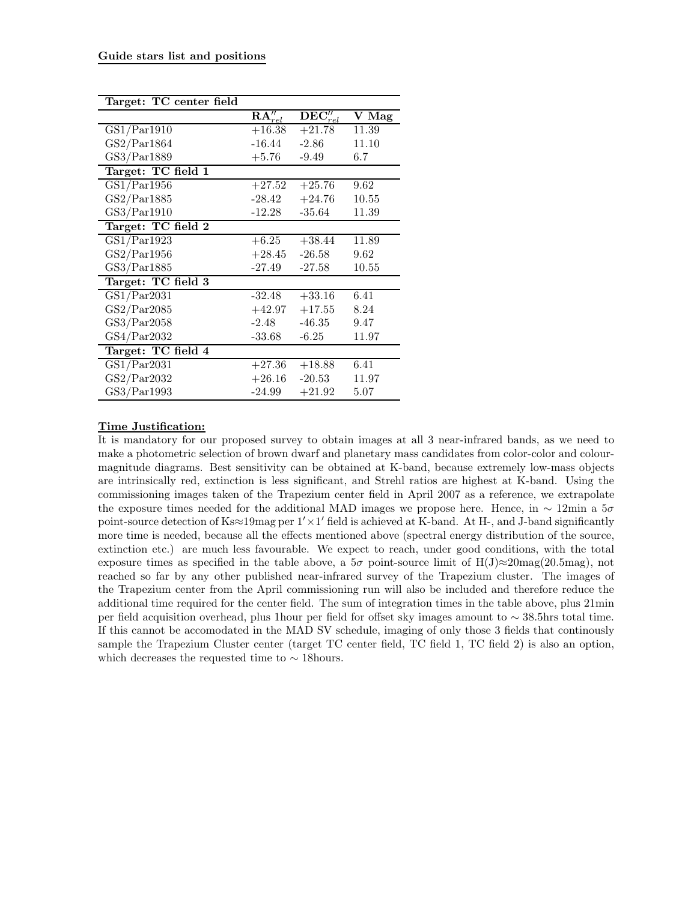| Target: TC center field                |                       |                                 |       |
|----------------------------------------|-----------------------|---------------------------------|-------|
|                                        | $\mathbf{RA}''_{rel}$ | $\overline{\text{DEC''}_{rel}}$ | V Mag |
| $\overline{\text{GS}}1/\text{Par}1910$ | $+16.38$              | $+21.78$                        | 11.39 |
| GS2/Par1864                            | $-16.44$              | $-2.86$                         | 11.10 |
| GS3/Par1889                            | $+5.76$               | $-9.49$                         | 6.7   |
| Target: TC field 1                     |                       |                                 |       |
| GS1/Par1956                            | $+27.52$              | $+25.76$                        | 9.62  |
| GS2/Par1885                            | $-28.42$              | $+24.76$                        | 10.55 |
| GS3/Par1910                            | $-12.28$              | $-35.64$                        | 11.39 |
| Target: TC field 2                     |                       |                                 |       |
| GS1/Par1923                            | $+6.25$               | $+38.44$                        | 11.89 |
| GS2/Par1956                            | $+28.45$              | $-26.58$                        | 9.62  |
| GS3/Par1885                            | $-27.49$              | $-27.58$                        | 10.55 |
| Target: TC field 3                     |                       |                                 |       |
| GS1/Par2031                            | $-32.48$              | $+33.16$                        | 6.41  |
| GS2/Par2085                            | $+42.97$              | $+17.55$                        | 8.24  |
| GS3/Par2058                            | $-2.48$               | $-46.35$                        | 9.47  |
| GS4/Par2032                            | $-33.68$              | $-6.25$                         | 11.97 |
| Target: TC field 4                     |                       |                                 |       |
| GS1/Par2031                            | $+27.36$              | $+18.88$                        | 6.41  |
| GS2/Par2032                            | $+26.16$              | $-20.53$                        | 11.97 |
| GS3/Par1993                            | -24.99                | $+21.92$                        | 5.07  |

## Time Justification:

It is mandatory for our proposed survey to obtain images at all 3 near-infrared bands, as we need to make a photometric selection of brown dwarf and planetary mass candidates from color-color and colourmagnitude diagrams. Best sensitivity can be obtained at K-band, because extremely low-mass objects are intrinsically red, extinction is less significant, and Strehl ratios are highest at K-band. Using the commissioning images taken of the Trapezium center field in April 2007 as a reference, we extrapolate the exposure times needed for the additional MAD images we propose here. Hence, in  $\sim 12$ min a 5 $\sigma$ point-source detection of Ks≈19mag per 1′×1 ′ field is achieved at K-band. At H-, and J-band significantly more time is needed, because all the effects mentioned above (spectral energy distribution of the source, extinction etc.) are much less favourable. We expect to reach, under good conditions, with the total exposure times as specified in the table above, a  $5\sigma$  point-source limit of H(J)≈20mag(20.5mag), not reached so far by any other published near-infrared survey of the Trapezium cluster. The images of the Trapezium center from the April commissioning run will also be included and therefore reduce the additional time required for the center field. The sum of integration times in the table above, plus 21min per field acquisition overhead, plus 1hour per field for offset sky images amount to ∼ 38.5hrs total time. If this cannot be accomodated in the MAD SV schedule, imaging of only those 3 fields that continously sample the Trapezium Cluster center (target TC center field, TC field 1, TC field 2) is also an option, which decreases the requested time to  $\sim$  18hours.